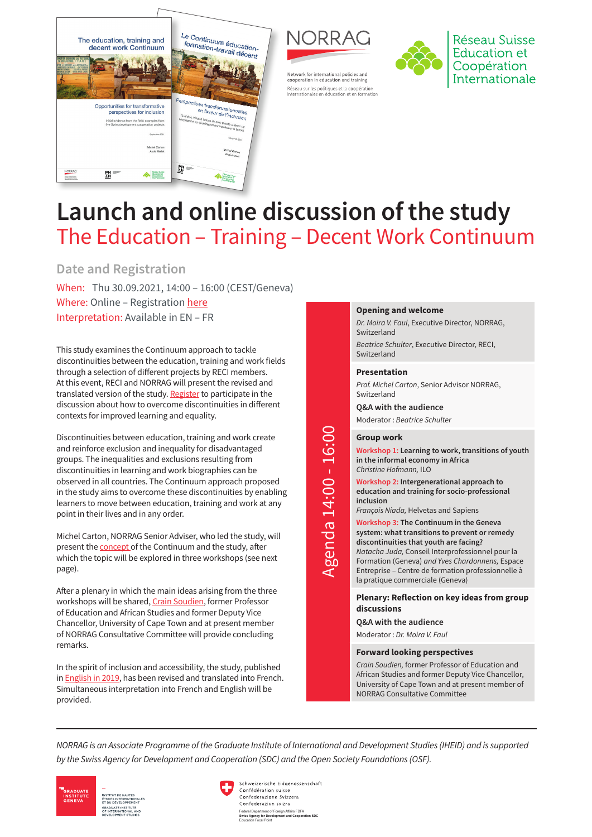



Network for international policies and

cooperation in education and training .<br>Réseau sur les politiques et la coopération<br>internationales en éducation et en formation



Réseau Suisse Education et Coopération Internationale

# **Launch and online discussion of the study**  The Education – Training – Decent Work Continuum

# **Date and Registration**

When: Thu 30.09.2021, 14:00 – 16:00 (CEST/Geneva) Where: Online – Registration [here](https://norrag.zoom.us/meeting/register/tZIldu6hqzsuH9BOwdSTv5lidqTnr_3SWo_Y) Interpretation: Available in EN – FR

This study examines the Continuum approach to tackle discontinuities between the education, training and work fields through a selection of different projects by RECI members. At this event, RECI and NORRAG will present the revised and translated version of the study. [Register](https://norrag.zoom.us/meeting/register/tZIldu6hqzsuH9BOwdSTv5lidqTnr_3SWo_Y) to participate in the discussion about how to overcome discontinuities in different contexts for improved learning and equality.

Discontinuities between education, training and work create and reinforce exclusion and inequality for disadvantaged groups. The inequalities and exclusions resulting from discontinuities in learning and work biographies can be observed in all countries. The Continuum approach proposed in the study aims to overcome these discontinuities by enabling learners to move between education, training and work at any point in their lives and in any order.

Michel Carton, NORRAG Senior Adviser, who led the study, will present the [concept](https://vimeo.com/594394532) of the Continuum and the study, after which the topic will be explored in three workshops (see next page).

After a plenary in which the main ideas arising from the three workshops will be shared, [Crain Soudien,](https://www.norrag.org/app/uploads/2021/08/Crain-Soudien_CV.pdf) former Professor of Education and African Studies and former Deputy Vice Chancellor, University of Cape Town and at present member of NORRAG Consultative Committee will provide concluding remarks.

In the spirit of inclusion and accessibility, the study, published in [English in 2019](https://www.norrag.org/reci-study-continuum-education-training-work-and-employment/), has been revised and translated into French. Simultaneous interpretation into French and English will be provided.

#### **Opening and welcome**

*Dr. Moira V. Faul*, Executive Director, NORRAG, Switzerland

*Beatrice Schulter*, Executive Director, RECI, Switzerland

#### **Presentation**

*Prof. Michel Carton*, Senior Advisor NORRAG, Switzerland

**Q&A with the audience** Moderator : *Beatrice Schulter*

#### **Group work**

**Workshop 1: Learning to work, transitions of youth in the informal economy in Africa**  *Christine Hofmann,* ILO

**Workshop 2: Intergenerational approach to education and training for socio-professional inclusion**

*François Niada,* Helvetas and Sapiens

**Workshop 3: The Continuum in the Geneva system: what transitions to prevent or remedy discontinuities that youth are facing?** *Natacha Juda,* Conseil Interprofessionnel pour la Formation (Geneva) *and Yves Chardonnens,* Espace Entreprise – Centre de formation professionnelle à la pratique commerciale (Geneva)

**Plenary: Reflection on key ideas from group discussions**

**Q&A with the audience**

Moderator : *Dr. Moira V. Faul*

#### **Forward looking perspectives**

*Crain Soudien,* former Professor of Education and African Studies and former Deputy Vice Chancellor, University of Cape Town and at present member of NORRAG Consultative Committee

*NORRAG is an Associate Programme of the Graduate Institute of International and Development Studies (IHEID) and is supported by the Swiss Agency for Development and Cooperation (SDC) and the Open Society Foundations (OSF).* 



Schweizerische Eidgenossenschaft Confédération suisse Confederazione Svizzera Confederaziun svizra Federal Department of Foreign Affairs FDFA **Swiss Agency for Development and Cooperation SDC** Agency for Devi